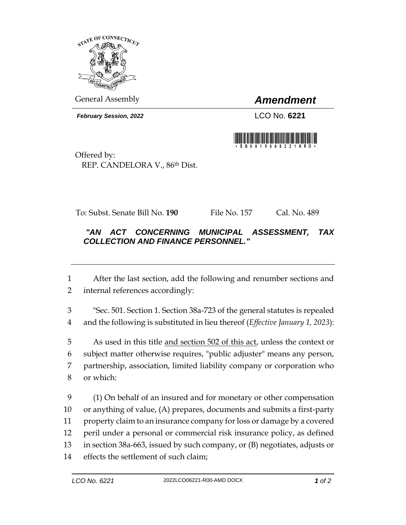

General Assembly *Amendment*

*February Session, 2022* LCO No. **6221**



Offered by: REP. CANDELORA V., 86th Dist.

To: Subst. Senate Bill No. **190** File No. 157 Cal. No. 489

## *"AN ACT CONCERNING MUNICIPAL ASSESSMENT, TAX COLLECTION AND FINANCE PERSONNEL."*

 After the last section, add the following and renumber sections and internal references accordingly:

 "Sec. 501. Section 1. Section 38a-723 of the general statutes is repealed and the following is substituted in lieu thereof (*Effective January 1, 2023*):

 As used in this title and section 502 of this act, unless the context or subject matter otherwise requires, "public adjuster" means any person, partnership, association, limited liability company or corporation who or which:

 (1) On behalf of an insured and for monetary or other compensation or anything of value, (A) prepares, documents and submits a first-party property claim to an insurance company for loss or damage by a covered peril under a personal or commercial risk insurance policy, as defined in section 38a-663, issued by such company, or (B) negotiates, adjusts or effects the settlement of such claim;